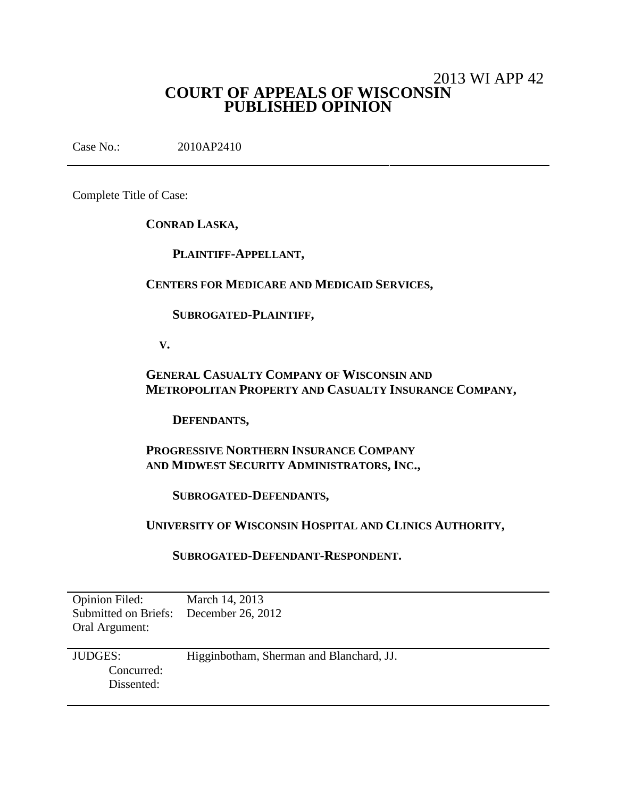# 2013 WI APP 42 **COURT OF APPEALS OF WISCONSIN PUBLISHED OPINION**

Case No.: 2010AP2410

Complete Title of Case:

**CONRAD LASKA,**

**PLAINTIFF-APPELLANT,**

**CENTERS FOR MEDICARE AND MEDICAID SERVICES,**

**SUBROGATED-PLAINTIFF,**

**V.**

**GENERAL CASUALTY COMPANY OF WISCONSIN AND METROPOLITAN PROPERTY AND CASUALTY INSURANCE COMPANY,**

**DEFENDANTS,**

**PROGRESSIVE NORTHERN INSURANCE COMPANY AND MIDWEST SECURITY ADMINISTRATORS, INC.,**

**SUBROGATED-DEFENDANTS,**

**UNIVERSITY OF WISCONSIN HOSPITAL AND CLINICS AUTHORITY,**

**SUBROGATED-DEFENDANT-RESPONDENT.**

| <b>Opinion Filed:</b>                  | March 14, 2013                           |
|----------------------------------------|------------------------------------------|
| Submitted on Briefs: December 26, 2012 |                                          |
| Oral Argument:                         |                                          |
|                                        |                                          |
| <b>JUDGES:</b>                         | Higginbotham, Sherman and Blanchard, JJ. |
| Concurred:                             |                                          |
|                                        |                                          |
| Dissented:                             |                                          |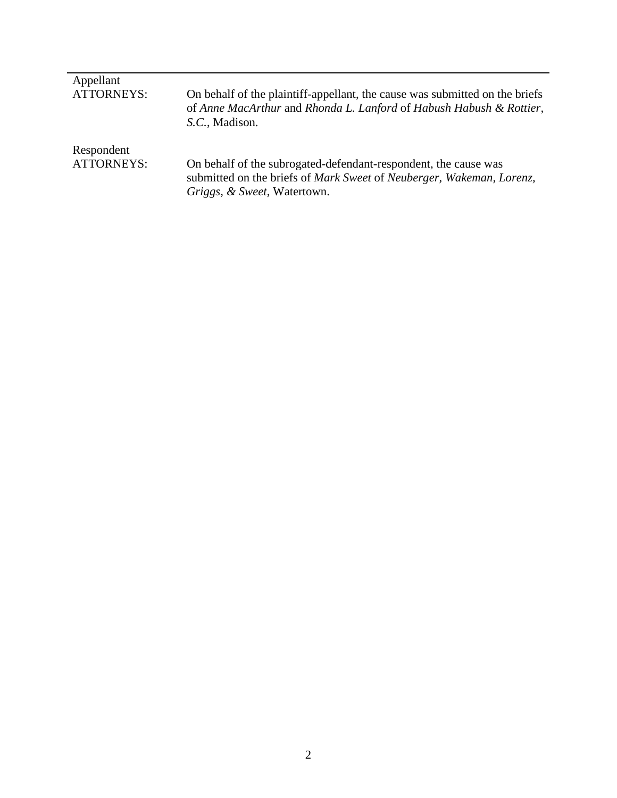| Appellant         |                                                                                                                                                                        |
|-------------------|------------------------------------------------------------------------------------------------------------------------------------------------------------------------|
| <b>ATTORNEYS:</b> | On behalf of the plaintiff-appellant, the cause was submitted on the briefs<br>of Anne MacArthur and Rhonda L. Lanford of Habush Habush & Rottier,<br>S.C., Madison.   |
| Respondent        |                                                                                                                                                                        |
| <b>ATTORNEYS:</b> | On behalf of the subrogated-defendant-respondent, the cause was<br>submitted on the briefs of Mark Sweet of Neuberger, Wakeman, Lorenz,<br>Griggs, & Sweet, Watertown. |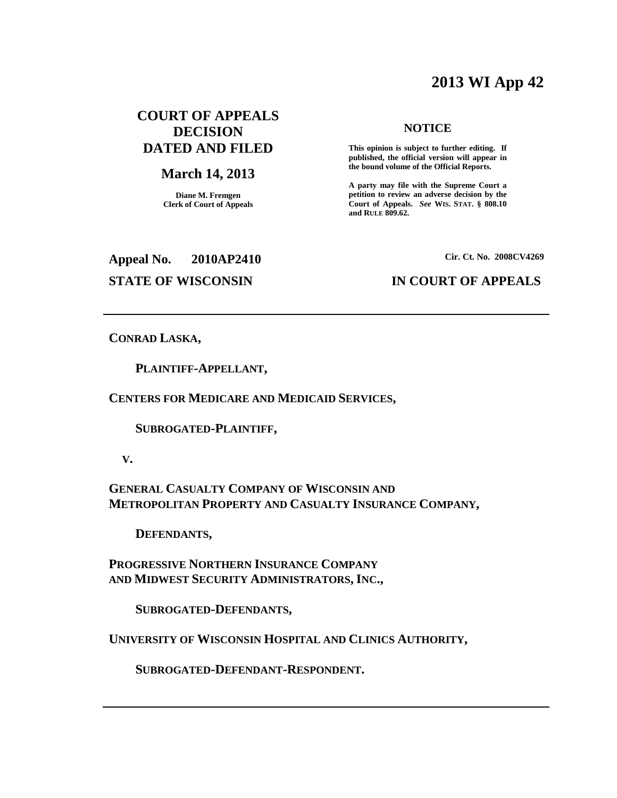# **2013 WI App 42**

# **COURT OF APPEALS DECISION DATED AND FILED**

# **March 14, 2013**

**Diane M. Fremgen Clerk of Court of Appeals**

# **NOTICE**

**This opinion is subject to further editing. If published, the official version will appear in the bound volume of the Official Reports.**

**A party may file with the Supreme Court a petition to review an adverse decision by the Court of Appeals.** *See* **WIS. STAT. § 808.10 and RULE 809.62.**

**Appeal No. 2010AP2410**

**Cir. Ct. No. 2008CV4269**

# **STATE OF WISCONSIN IN COURT OF APPEALS**

**CONRAD LASKA,**

**PLAINTIFF-APPELLANT,**

**CENTERS FOR MEDICARE AND MEDICAID SERVICES,**

**SUBROGATED-PLAINTIFF,**

**V.**

**GENERAL CASUALTY COMPANY OF WISCONSIN AND METROPOLITAN PROPERTY AND CASUALTY INSURANCE COMPANY,**

**DEFENDANTS,**

**PROGRESSIVE NORTHERN INSURANCE COMPANY AND MIDWEST SECURITY ADMINISTRATORS, INC.,**

**SUBROGATED-DEFENDANTS,**

**UNIVERSITY OF WISCONSIN HOSPITAL AND CLINICS AUTHORITY,**

**SUBROGATED-DEFENDANT-RESPONDENT.**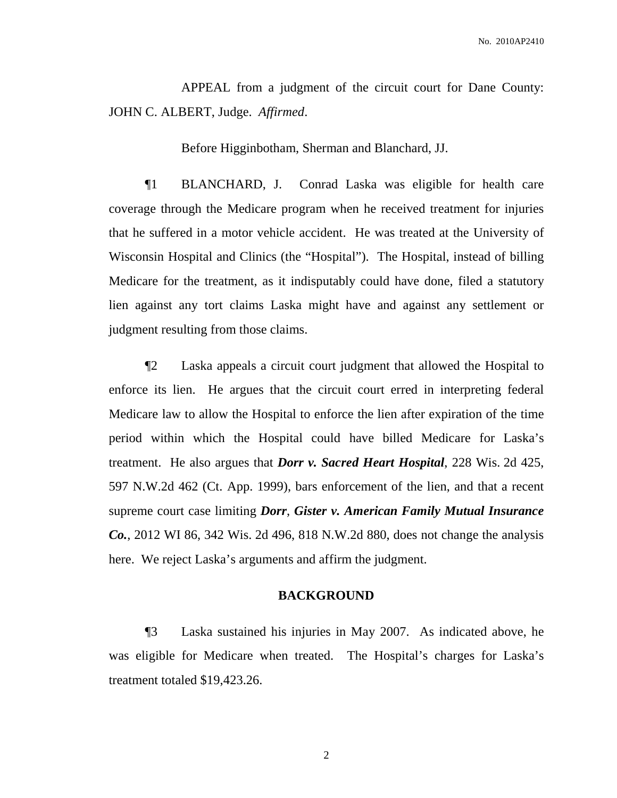No. 2010AP2410

APPEAL from a judgment of the circuit court for Dane County: JOHN C. ALBERT, Judge. *Affirmed*.

Before Higginbotham, Sherman and Blanchard, JJ.

¶1 BLANCHARD, J. Conrad Laska was eligible for health care coverage through the Medicare program when he received treatment for injuries that he suffered in a motor vehicle accident. He was treated at the University of Wisconsin Hospital and Clinics (the "Hospital"). The Hospital, instead of billing Medicare for the treatment, as it indisputably could have done, filed a statutory lien against any tort claims Laska might have and against any settlement or judgment resulting from those claims.

¶2 Laska appeals a circuit court judgment that allowed the Hospital to enforce its lien. He argues that the circuit court erred in interpreting federal Medicare law to allow the Hospital to enforce the lien after expiration of the time period within which the Hospital could have billed Medicare for Laska's treatment. He also argues that *Dorr v. Sacred Heart Hospital*, 228 Wis. 2d 425, 597 N.W.2d 462 (Ct. App. 1999), bars enforcement of the lien, and that a recent supreme court case limiting *Dorr*, *Gister v. American Family Mutual Insurance Co.*, 2012 WI 86, 342 Wis. 2d 496, 818 N.W.2d 880, does not change the analysis here. We reject Laska's arguments and affirm the judgment.

# **BACKGROUND**

¶3 Laska sustained his injuries in May 2007. As indicated above, he was eligible for Medicare when treated. The Hospital's charges for Laska's treatment totaled \$19,423.26.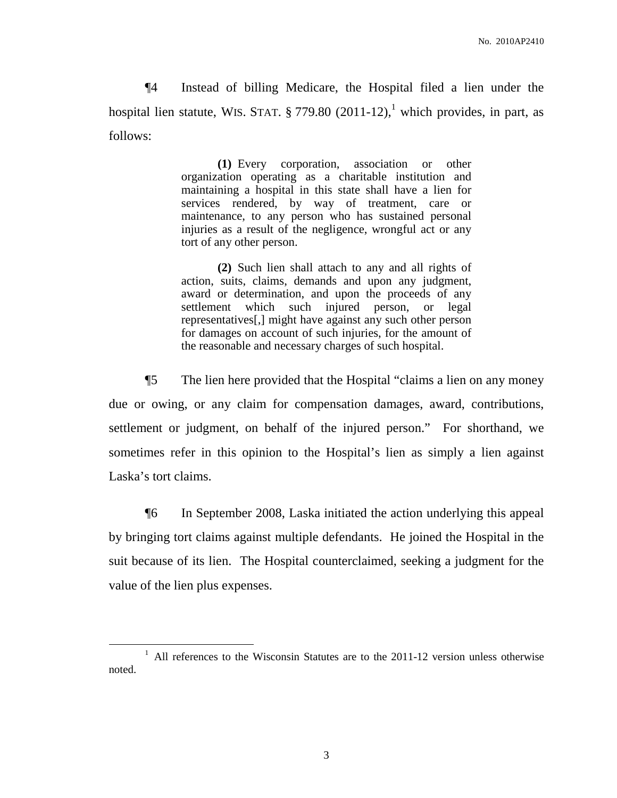¶4 Instead of billing Medicare, the Hospital filed a lien under the hospital lien statute, WIS. STAT.  $\S 779.80$  (2011-12),<sup>1</sup> which provides, in part, as follows:

> **(1)** Every corporation, association or other organization operating as a charitable institution and maintaining a hospital in this state shall have a lien for services rendered, by way of treatment, care or maintenance, to any person who has sustained personal injuries as a result of the negligence, wrongful act or any tort of any other person.

> **(2)** Such lien shall attach to any and all rights of action, suits, claims, demands and upon any judgment, award or determination, and upon the proceeds of any settlement which such injured person, or legal representatives[,] might have against any such other person for damages on account of such injuries, for the amount of the reasonable and necessary charges of such hospital.

¶5 The lien here provided that the Hospital "claims a lien on any money due or owing, or any claim for compensation damages, award, contributions, settlement or judgment, on behalf of the injured person." For shorthand, we sometimes refer in this opinion to the Hospital's lien as simply a lien against Laska's tort claims.

¶6 In September 2008, Laska initiated the action underlying this appeal by bringing tort claims against multiple defendants. He joined the Hospital in the suit because of its lien. The Hospital counterclaimed, seeking a judgment for the value of the lien plus expenses.

 $1$  All references to the Wisconsin Statutes are to the 2011-12 version unless otherwise noted.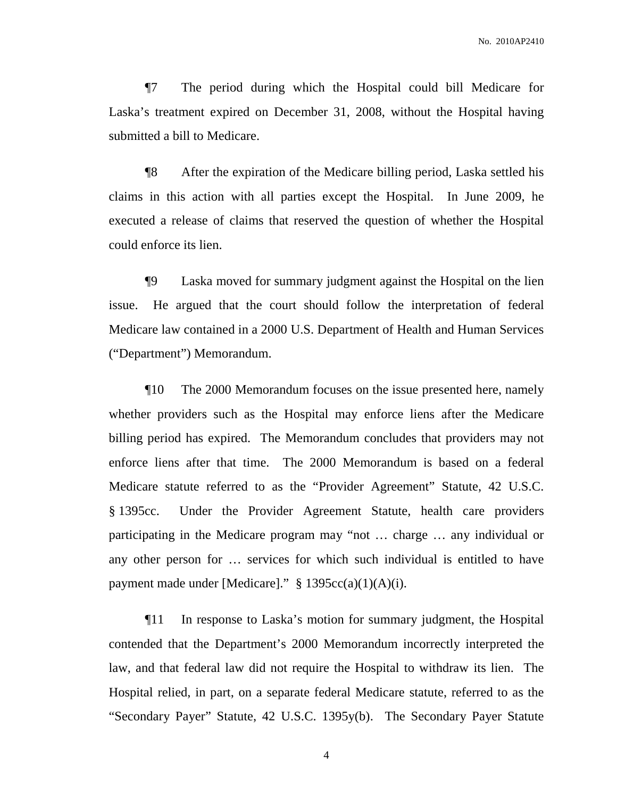¶7 The period during which the Hospital could bill Medicare for Laska's treatment expired on December 31, 2008, without the Hospital having submitted a bill to Medicare.

¶8 After the expiration of the Medicare billing period, Laska settled his claims in this action with all parties except the Hospital. In June 2009, he executed a release of claims that reserved the question of whether the Hospital could enforce its lien.

¶9 Laska moved for summary judgment against the Hospital on the lien issue. He argued that the court should follow the interpretation of federal Medicare law contained in a 2000 U.S. Department of Health and Human Services ("Department") Memorandum.

¶10 The 2000 Memorandum focuses on the issue presented here, namely whether providers such as the Hospital may enforce liens after the Medicare billing period has expired. The Memorandum concludes that providers may not enforce liens after that time. The 2000 Memorandum is based on a federal Medicare statute referred to as the "Provider Agreement" Statute, 42 U.S.C. § 1395cc. Under the Provider Agreement Statute, health care providers participating in the Medicare program may "not … charge … any individual or any other person for … services for which such individual is entitled to have payment made under [Medicare]."  $§ 1395cc(a)(1)(A)(i)$ .

¶11 In response to Laska's motion for summary judgment, the Hospital contended that the Department's 2000 Memorandum incorrectly interpreted the law, and that federal law did not require the Hospital to withdraw its lien. The Hospital relied, in part, on a separate federal Medicare statute, referred to as the "Secondary Payer" Statute, 42 U.S.C. 1395y(b). The Secondary Payer Statute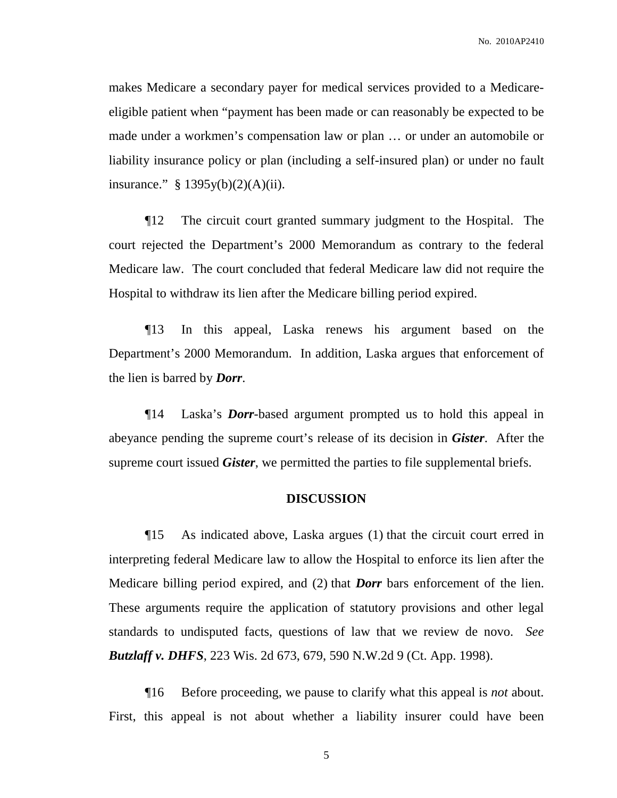makes Medicare a secondary payer for medical services provided to a Medicareeligible patient when "payment has been made or can reasonably be expected to be made under a workmen's compensation law or plan … or under an automobile or liability insurance policy or plan (including a self-insured plan) or under no fault insurance."  $§ 1395y(b)(2)(A)(ii)$ .

¶12 The circuit court granted summary judgment to the Hospital. The court rejected the Department's 2000 Memorandum as contrary to the federal Medicare law. The court concluded that federal Medicare law did not require the Hospital to withdraw its lien after the Medicare billing period expired.

¶13 In this appeal, Laska renews his argument based on the Department's 2000 Memorandum. In addition, Laska argues that enforcement of the lien is barred by *Dorr*.

¶14 Laska's *Dorr*-based argument prompted us to hold this appeal in abeyance pending the supreme court's release of its decision in *Gister*. After the supreme court issued *Gister*, we permitted the parties to file supplemental briefs.

# **DISCUSSION**

¶15 As indicated above, Laska argues (1) that the circuit court erred in interpreting federal Medicare law to allow the Hospital to enforce its lien after the Medicare billing period expired, and (2) that *Dorr* bars enforcement of the lien. These arguments require the application of statutory provisions and other legal standards to undisputed facts, questions of law that we review de novo. *See Butzlaff v. DHFS*, 223 Wis. 2d 673, 679, 590 N.W.2d 9 (Ct. App. 1998).

¶16 Before proceeding, we pause to clarify what this appeal is *not* about. First, this appeal is not about whether a liability insurer could have been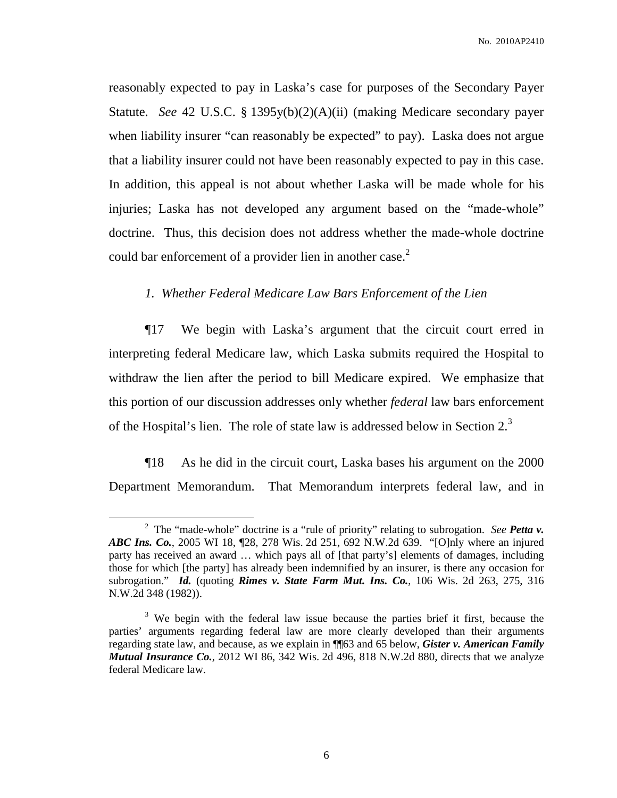reasonably expected to pay in Laska's case for purposes of the Secondary Payer Statute. *See* 42 U.S.C. § 1395y(b)(2)(A)(ii) (making Medicare secondary payer when liability insurer "can reasonably be expected" to pay). Laska does not argue that a liability insurer could not have been reasonably expected to pay in this case. In addition, this appeal is not about whether Laska will be made whole for his injuries; Laska has not developed any argument based on the "made-whole" doctrine. Thus, this decision does not address whether the made-whole doctrine could bar enforcement of a provider lien in another case.<sup>2</sup>

# *1. Whether Federal Medicare Law Bars Enforcement of the Lien*

¶17 We begin with Laska's argument that the circuit court erred in interpreting federal Medicare law, which Laska submits required the Hospital to withdraw the lien after the period to bill Medicare expired. We emphasize that this portion of our discussion addresses only whether *federal* law bars enforcement of the Hospital's lien. The role of state law is addressed below in Section  $2<sup>3</sup>$ .

¶18 As he did in the circuit court, Laska bases his argument on the 2000 Department Memorandum. That Memorandum interprets federal law, and in

<sup>2</sup> The "made-whole" doctrine is a "rule of priority" relating to subrogation. *See Petta v. ABC Ins. Co.*, 2005 WI 18, ¶28, 278 Wis. 2d 251, 692 N.W.2d 639. "[O]nly where an injured party has received an award … which pays all of [that party's] elements of damages, including those for which [the party] has already been indemnified by an insurer, is there any occasion for subrogation." *Id.* (quoting *Rimes v. State Farm Mut. Ins. Co.*, 106 Wis. 2d 263, 275, 316 N.W.2d 348 (1982)).

<sup>&</sup>lt;sup>3</sup> We begin with the federal law issue because the parties brief it first, because the parties' arguments regarding federal law are more clearly developed than their arguments regarding state law, and because, as we explain in ¶¶63 and 65 below, *Gister v. American Family Mutual Insurance Co.*, 2012 WI 86, 342 Wis. 2d 496, 818 N.W.2d 880, directs that we analyze federal Medicare law.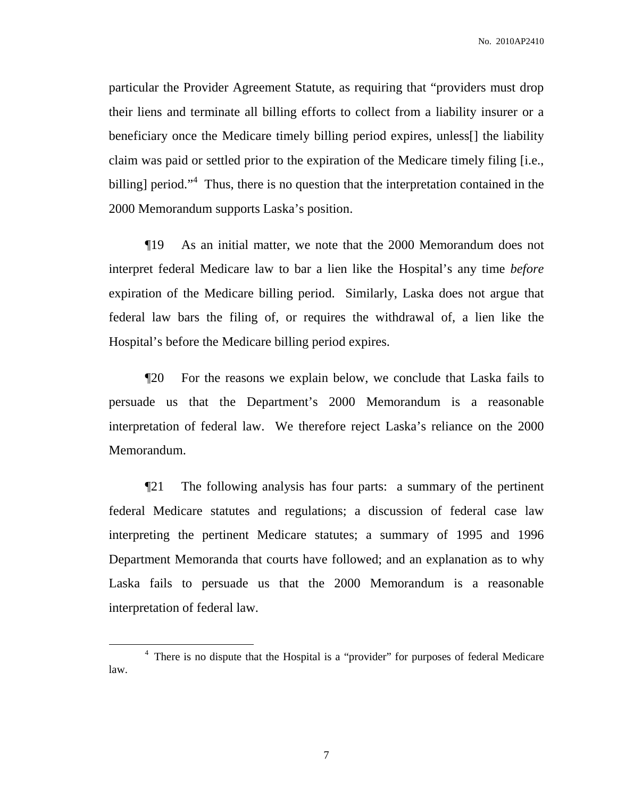particular the Provider Agreement Statute, as requiring that "providers must drop their liens and terminate all billing efforts to collect from a liability insurer or a beneficiary once the Medicare timely billing period expires, unless[] the liability claim was paid or settled prior to the expiration of the Medicare timely filing [i.e., billing] period."<sup>4</sup> Thus, there is no question that the interpretation contained in the 2000 Memorandum supports Laska's position.

¶19 As an initial matter, we note that the 2000 Memorandum does not interpret federal Medicare law to bar a lien like the Hospital's any time *before* expiration of the Medicare billing period. Similarly, Laska does not argue that federal law bars the filing of, or requires the withdrawal of, a lien like the Hospital's before the Medicare billing period expires.

¶20 For the reasons we explain below, we conclude that Laska fails to persuade us that the Department's 2000 Memorandum is a reasonable interpretation of federal law. We therefore reject Laska's reliance on the 2000 Memorandum.

¶21 The following analysis has four parts: a summary of the pertinent federal Medicare statutes and regulations; a discussion of federal case law interpreting the pertinent Medicare statutes; a summary of 1995 and 1996 Department Memoranda that courts have followed; and an explanation as to why Laska fails to persuade us that the 2000 Memorandum is a reasonable interpretation of federal law.

<sup>&</sup>lt;sup>4</sup> There is no dispute that the Hospital is a "provider" for purposes of federal Medicare law.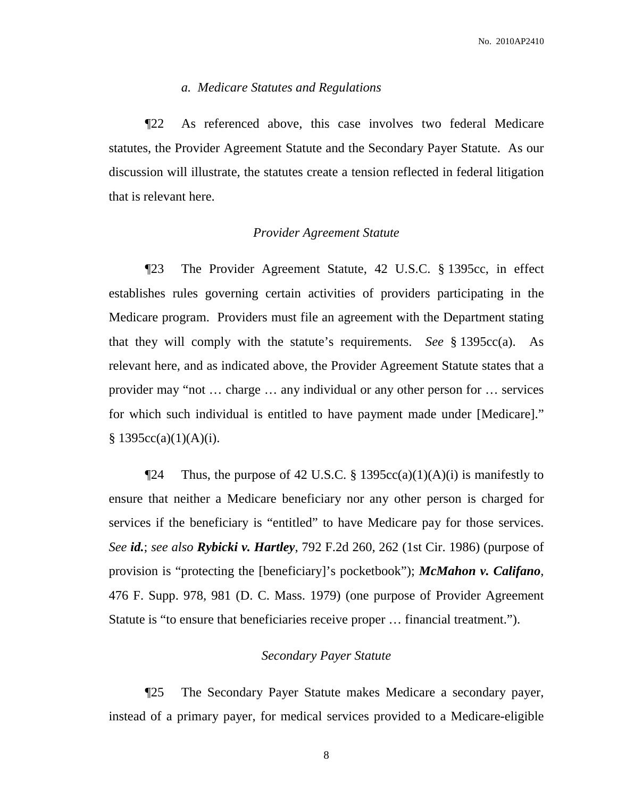# *a. Medicare Statutes and Regulations*

¶22 As referenced above, this case involves two federal Medicare statutes, the Provider Agreement Statute and the Secondary Payer Statute. As our discussion will illustrate, the statutes create a tension reflected in federal litigation that is relevant here.

## *Provider Agreement Statute*

¶23 The Provider Agreement Statute, 42 U.S.C. § 1395cc, in effect establishes rules governing certain activities of providers participating in the Medicare program. Providers must file an agreement with the Department stating that they will comply with the statute's requirements. *See* § 1395cc(a). As relevant here, and as indicated above, the Provider Agreement Statute states that a provider may "not … charge … any individual or any other person for … services for which such individual is entitled to have payment made under [Medicare]."  $§ 1395cc(a)(1)(A)(i).$ 

Thus, the purpose of 42 U.S.C. § 1395cc(a)(1)(A)(i) is manifestly to ensure that neither a Medicare beneficiary nor any other person is charged for services if the beneficiary is "entitled" to have Medicare pay for those services. *See id.*; *see also Rybicki v. Hartley*, 792 F.2d 260, 262 (1st Cir. 1986) (purpose of provision is "protecting the [beneficiary]'s pocketbook"); *McMahon v. Califano*, 476 F. Supp. 978, 981 (D. C. Mass. 1979) (one purpose of Provider Agreement Statute is "to ensure that beneficiaries receive proper … financial treatment.").

# *Secondary Payer Statute*

¶25 The Secondary Payer Statute makes Medicare a secondary payer, instead of a primary payer, for medical services provided to a Medicare-eligible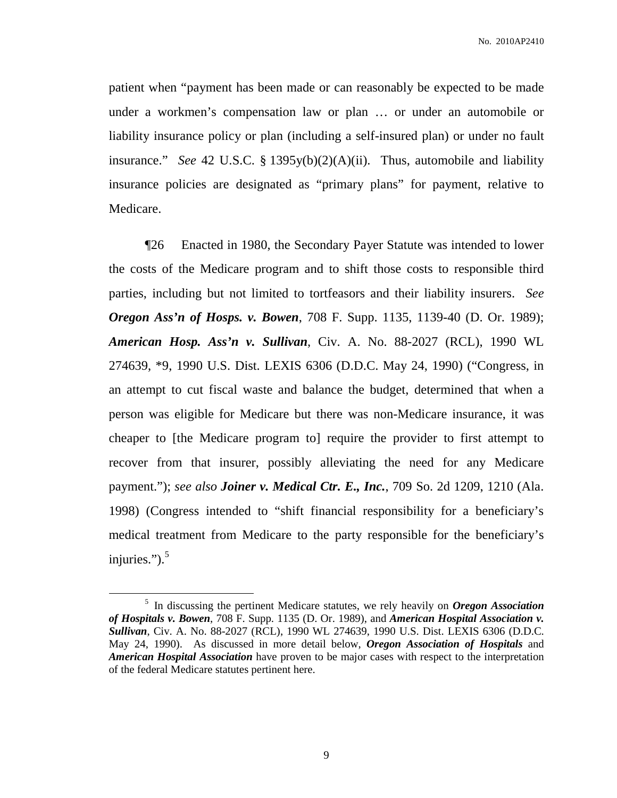patient when "payment has been made or can reasonably be expected to be made under a workmen's compensation law or plan … or under an automobile or liability insurance policy or plan (including a self-insured plan) or under no fault insurance." *See* 42 U.S.C. § 1395y(b)(2)(A)(ii). Thus, automobile and liability insurance policies are designated as "primary plans" for payment, relative to Medicare.

¶26 Enacted in 1980, the Secondary Payer Statute was intended to lower the costs of the Medicare program and to shift those costs to responsible third parties, including but not limited to tortfeasors and their liability insurers. *See Oregon Ass'n of Hosps. v. Bowen*, 708 F. Supp. 1135, 1139-40 (D. Or. 1989); *American Hosp. Ass'n v. Sullivan*, Civ. A. No. 88-2027 (RCL), 1990 WL 274639, \*9, 1990 U.S. Dist. LEXIS 6306 (D.D.C. May 24, 1990) ("Congress, in an attempt to cut fiscal waste and balance the budget, determined that when a person was eligible for Medicare but there was non-Medicare insurance, it was cheaper to [the Medicare program to] require the provider to first attempt to recover from that insurer, possibly alleviating the need for any Medicare payment."); *see also Joiner v. Medical Ctr. E., Inc.*, 709 So. 2d 1209, 1210 (Ala. 1998) (Congress intended to "shift financial responsibility for a beneficiary's medical treatment from Medicare to the party responsible for the beneficiary's injuries."). 5

<sup>5</sup> In discussing the pertinent Medicare statutes, we rely heavily on *Oregon Association of Hospitals v. Bowen*, 708 F. Supp. 1135 (D. Or. 1989), and *American Hospital Association v. Sullivan*, Civ. A. No. 88-2027 (RCL), 1990 WL 274639, 1990 U.S. Dist. LEXIS 6306 (D.D.C. May 24, 1990). As discussed in more detail below, *Oregon Association of Hospitals* and *American Hospital Association* have proven to be major cases with respect to the interpretation of the federal Medicare statutes pertinent here.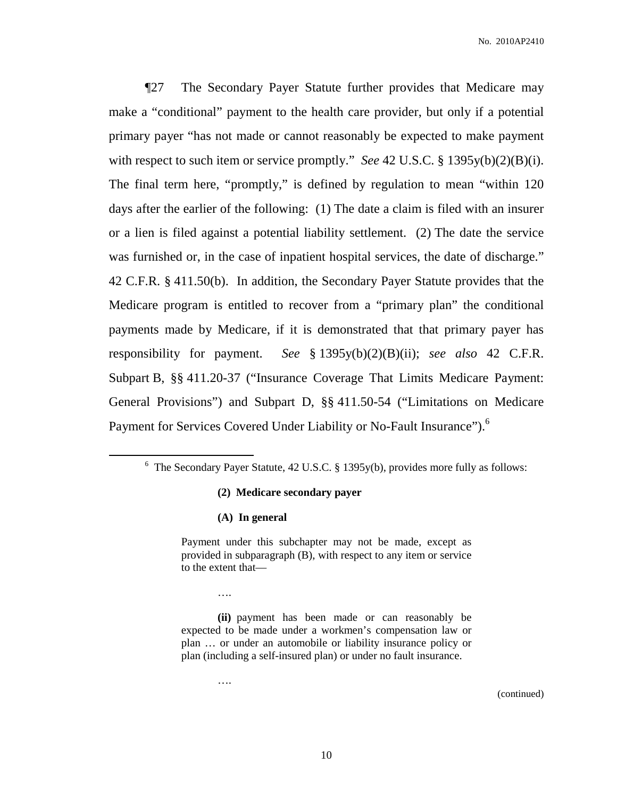¶27 The Secondary Payer Statute further provides that Medicare may make a "conditional" payment to the health care provider, but only if a potential primary payer "has not made or cannot reasonably be expected to make payment with respect to such item or service promptly." *See* 42 U.S.C. § 1395y(b)(2)(B)(i). The final term here, "promptly," is defined by regulation to mean "within 120 days after the earlier of the following: (1) The date a claim is filed with an insurer or a lien is filed against a potential liability settlement. (2) The date the service was furnished or, in the case of inpatient hospital services, the date of discharge." 42 C.F.R. § 411.50(b). In addition, the Secondary Payer Statute provides that the Medicare program is entitled to recover from a "primary plan" the conditional payments made by Medicare, if it is demonstrated that that primary payer has responsibility for payment. *See* § 1395y(b)(2)(B)(ii); *see also* 42 C.F.R. Subpart B, §§ 411.20-37 ("Insurance Coverage That Limits Medicare Payment: General Provisions") and Subpart D, §§ 411.50-54 ("Limitations on Medicare Payment for Services Covered Under Liability or No-Fault Insurance").<sup>6</sup>

#### **(2) Medicare secondary payer**

#### **(A) In general**

Payment under this subchapter may not be made, except as provided in subparagraph (B), with respect to any item or service to the extent that—

….

….

(continued)

 $6$  The Secondary Payer Statute, 42 U.S.C. § 1395y(b), provides more fully as follows:

**<sup>(</sup>ii)** payment has been made or can reasonably be expected to be made under a workmen's compensation law or plan … or under an automobile or liability insurance policy or plan (including a self-insured plan) or under no fault insurance.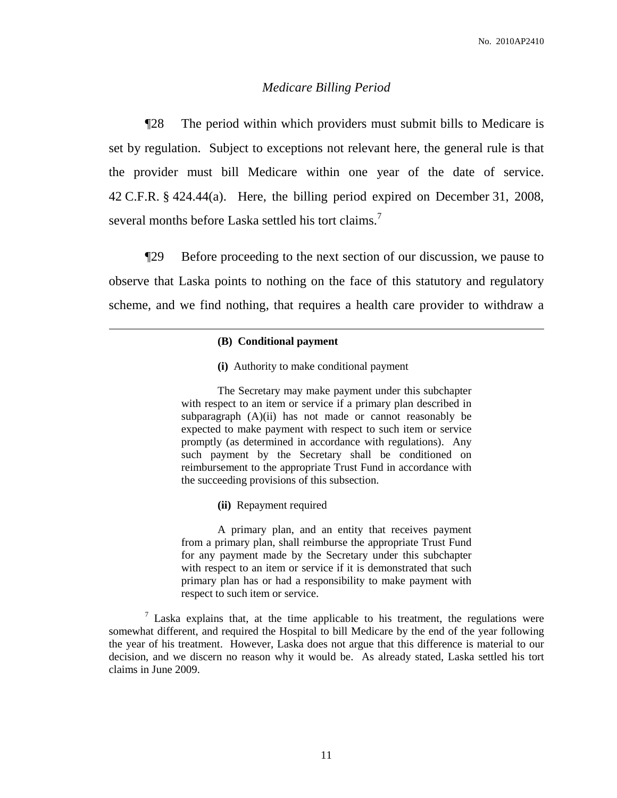# *Medicare Billing Period*

¶28 The period within which providers must submit bills to Medicare is set by regulation. Subject to exceptions not relevant here, the general rule is that the provider must bill Medicare within one year of the date of service. 42 C.F.R. § 424.44(a). Here, the billing period expired on December 31, 2008, several months before Laska settled his tort claims.<sup>7</sup>

¶29 Before proceeding to the next section of our discussion, we pause to observe that Laska points to nothing on the face of this statutory and regulatory scheme, and we find nothing, that requires a health care provider to withdraw a

#### **(B) Conditional payment**

**(i)** Authority to make conditional payment

The Secretary may make payment under this subchapter with respect to an item or service if a primary plan described in subparagraph  $(A)(ii)$  has not made or cannot reasonably be expected to make payment with respect to such item or service promptly (as determined in accordance with regulations). Any such payment by the Secretary shall be conditioned on reimbursement to the appropriate Trust Fund in accordance with the succeeding provisions of this subsection.

**(ii)** Repayment required

A primary plan, and an entity that receives payment from a primary plan, shall reimburse the appropriate Trust Fund for any payment made by the Secretary under this subchapter with respect to an item or service if it is demonstrated that such primary plan has or had a responsibility to make payment with respect to such item or service.

 $<sup>7</sup>$  Laska explains that, at the time applicable to his treatment, the regulations were</sup> somewhat different, and required the Hospital to bill Medicare by the end of the year following the year of his treatment. However, Laska does not argue that this difference is material to our decision, and we discern no reason why it would be. As already stated, Laska settled his tort claims in June 2009.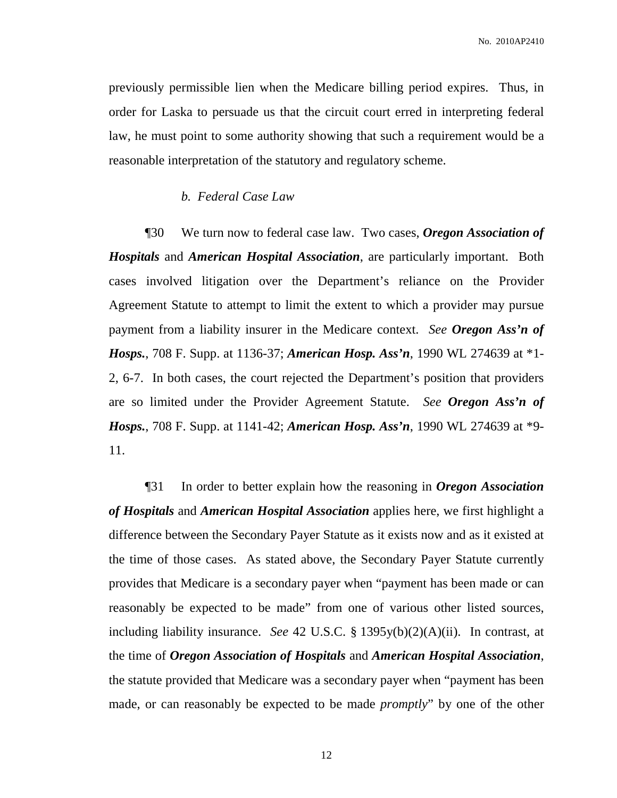previously permissible lien when the Medicare billing period expires. Thus, in order for Laska to persuade us that the circuit court erred in interpreting federal law, he must point to some authority showing that such a requirement would be a reasonable interpretation of the statutory and regulatory scheme.

# *b. Federal Case Law*

¶30 We turn now to federal case law. Two cases, *Oregon Association of Hospitals* and *American Hospital Association*, are particularly important. Both cases involved litigation over the Department's reliance on the Provider Agreement Statute to attempt to limit the extent to which a provider may pursue payment from a liability insurer in the Medicare context. *See Oregon Ass'n of Hosps.*, 708 F. Supp. at 1136-37; *American Hosp. Ass'n*, 1990 WL 274639 at \*1- 2, 6-7. In both cases, the court rejected the Department's position that providers are so limited under the Provider Agreement Statute. *See Oregon Ass'n of Hosps.*, 708 F. Supp. at 1141-42; *American Hosp. Ass'n*, 1990 WL 274639 at \*9- 11.

¶31 In order to better explain how the reasoning in *Oregon Association of Hospitals* and *American Hospital Association* applies here, we first highlight a difference between the Secondary Payer Statute as it exists now and as it existed at the time of those cases. As stated above, the Secondary Payer Statute currently provides that Medicare is a secondary payer when "payment has been made or can reasonably be expected to be made" from one of various other listed sources, including liability insurance. *See* 42 U.S.C. § 1395y(b)(2)(A)(ii). In contrast, at the time of *Oregon Association of Hospitals* and *American Hospital Association*, the statute provided that Medicare was a secondary payer when "payment has been made, or can reasonably be expected to be made *promptly*" by one of the other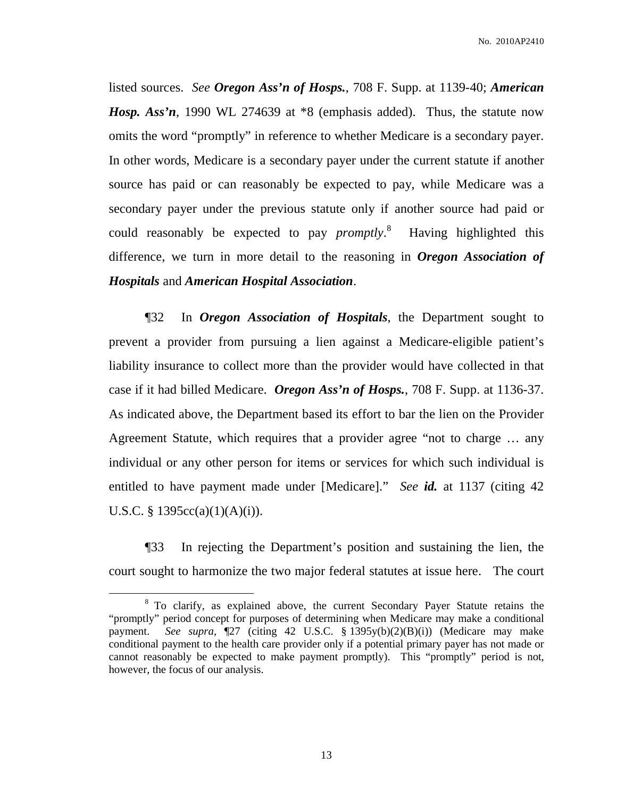listed sources. *See Oregon Ass'n of Hosps.*, 708 F. Supp. at 1139-40; *American Hosp. Ass'n*, 1990 WL 274639 at \*8 (emphasis added). Thus, the statute now omits the word "promptly" in reference to whether Medicare is a secondary payer. In other words, Medicare is a secondary payer under the current statute if another source has paid or can reasonably be expected to pay, while Medicare was a secondary payer under the previous statute only if another source had paid or could reasonably be expected to pay *promptly*. <sup>8</sup> Having highlighted this difference, we turn in more detail to the reasoning in *Oregon Association of Hospitals* and *American Hospital Association*.

¶32 In *Oregon Association of Hospitals*, the Department sought to prevent a provider from pursuing a lien against a Medicare-eligible patient's liability insurance to collect more than the provider would have collected in that case if it had billed Medicare. *Oregon Ass'n of Hosps.*, 708 F. Supp. at 1136-37. As indicated above, the Department based its effort to bar the lien on the Provider Agreement Statute, which requires that a provider agree "not to charge … any individual or any other person for items or services for which such individual is entitled to have payment made under [Medicare]." *See id.* at 1137 (citing 42 U.S.C. § 1395cc(a)(1)(A)(i)).

¶33 In rejecting the Department's position and sustaining the lien, the court sought to harmonize the two major federal statutes at issue here. The court

<sup>8</sup> To clarify, as explained above, the current Secondary Payer Statute retains the "promptly" period concept for purposes of determining when Medicare may make a conditional payment. *See supra*, ¶27 (citing 42 U.S.C. § 1395y(b)(2)(B)(i)) (Medicare may make conditional payment to the health care provider only if a potential primary payer has not made or cannot reasonably be expected to make payment promptly). This "promptly" period is not, however, the focus of our analysis.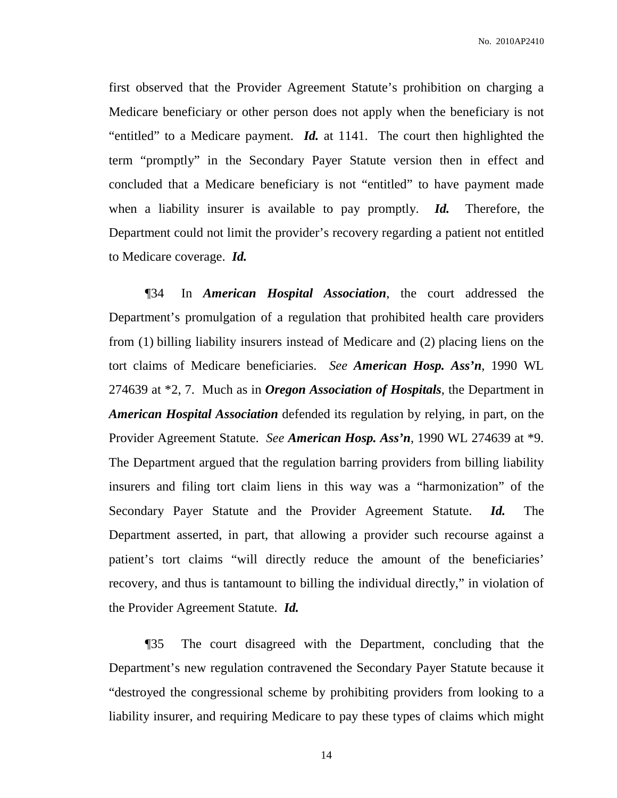No. 2010AP2410

first observed that the Provider Agreement Statute's prohibition on charging a Medicare beneficiary or other person does not apply when the beneficiary is not "entitled" to a Medicare payment. *Id.* at 1141. The court then highlighted the term "promptly" in the Secondary Payer Statute version then in effect and concluded that a Medicare beneficiary is not "entitled" to have payment made when a liability insurer is available to pay promptly. *Id.* Therefore, the Department could not limit the provider's recovery regarding a patient not entitled to Medicare coverage. *Id.*

¶34 In *American Hospital Association*, the court addressed the Department's promulgation of a regulation that prohibited health care providers from (1) billing liability insurers instead of Medicare and (2) placing liens on the tort claims of Medicare beneficiaries. *See American Hosp. Ass'n*, 1990 WL 274639 at \*2, 7. Much as in *Oregon Association of Hospitals*, the Department in *American Hospital Association* defended its regulation by relying, in part, on the Provider Agreement Statute. *See American Hosp. Ass'n*, 1990 WL 274639 at \*9. The Department argued that the regulation barring providers from billing liability insurers and filing tort claim liens in this way was a "harmonization" of the Secondary Payer Statute and the Provider Agreement Statute. *Id.* The Department asserted, in part, that allowing a provider such recourse against a patient's tort claims "will directly reduce the amount of the beneficiaries' recovery, and thus is tantamount to billing the individual directly," in violation of the Provider Agreement Statute. *Id.*

¶35 The court disagreed with the Department, concluding that the Department's new regulation contravened the Secondary Payer Statute because it "destroyed the congressional scheme by prohibiting providers from looking to a liability insurer, and requiring Medicare to pay these types of claims which might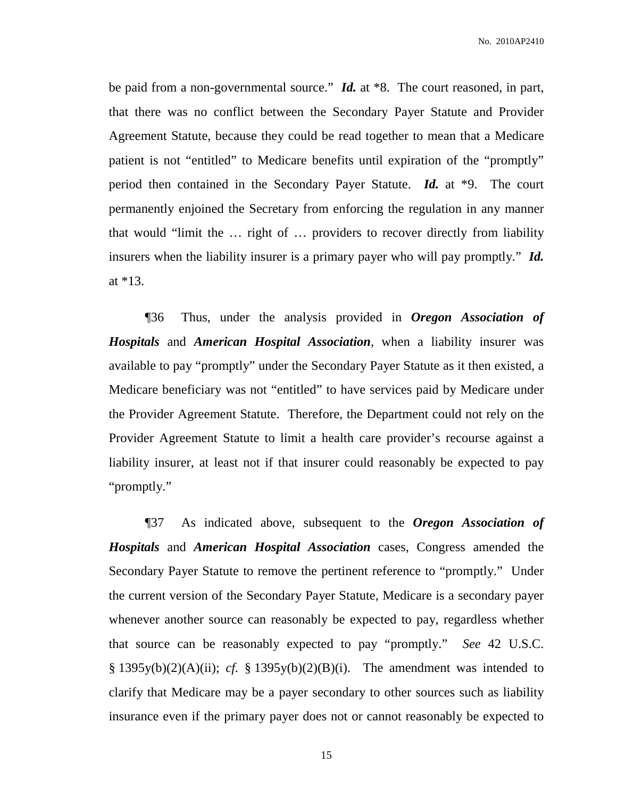be paid from a non-governmental source." *Id.* at \*8. The court reasoned, in part, that there was no conflict between the Secondary Payer Statute and Provider Agreement Statute, because they could be read together to mean that a Medicare patient is not "entitled" to Medicare benefits until expiration of the "promptly" period then contained in the Secondary Payer Statute. *Id.* at \*9. The court permanently enjoined the Secretary from enforcing the regulation in any manner that would "limit the … right of … providers to recover directly from liability insurers when the liability insurer is a primary payer who will pay promptly." *Id.* at \*13.

¶36 Thus, under the analysis provided in *Oregon Association of Hospitals* and *American Hospital Association*, when a liability insurer was available to pay "promptly" under the Secondary Payer Statute as it then existed, a Medicare beneficiary was not "entitled" to have services paid by Medicare under the Provider Agreement Statute. Therefore, the Department could not rely on the Provider Agreement Statute to limit a health care provider's recourse against a liability insurer, at least not if that insurer could reasonably be expected to pay "promptly."

¶37 As indicated above, subsequent to the *Oregon Association of Hospitals* and *American Hospital Association* cases, Congress amended the Secondary Payer Statute to remove the pertinent reference to "promptly." Under the current version of the Secondary Payer Statute, Medicare is a secondary payer whenever another source can reasonably be expected to pay, regardless whether that source can be reasonably expected to pay "promptly." *See* 42 U.S.C.  $\S$  1395y(b)(2)(A)(ii); *cf.*  $\S$  1395y(b)(2)(B)(i). The amendment was intended to clarify that Medicare may be a payer secondary to other sources such as liability insurance even if the primary payer does not or cannot reasonably be expected to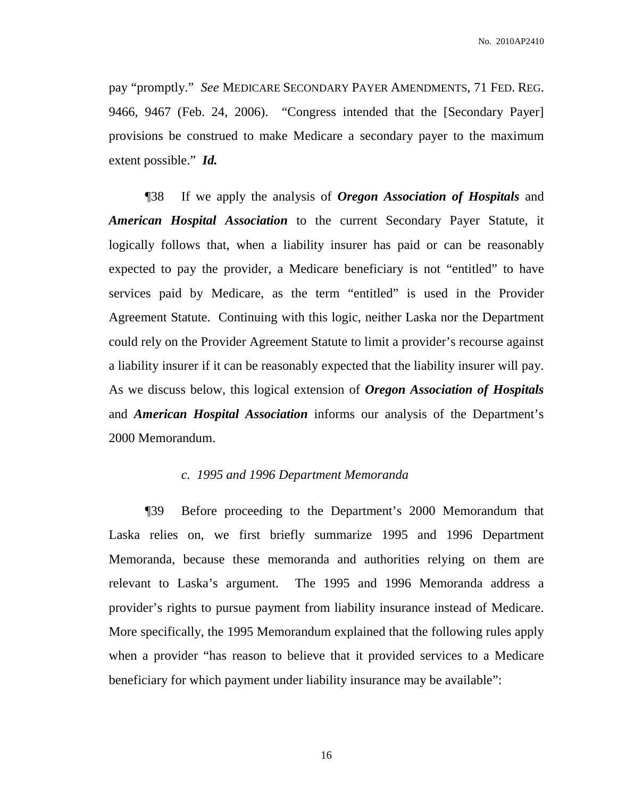pay "promptly." *See* MEDICARE SECONDARY PAYER AMENDMENTS, 71 FED. REG. 9466, 9467 (Feb. 24, 2006). "Congress intended that the [Secondary Payer] provisions be construed to make Medicare a secondary payer to the maximum extent possible." *Id.*

¶38 If we apply the analysis of *Oregon Association of Hospitals* and *American Hospital Association* to the current Secondary Payer Statute, it logically follows that, when a liability insurer has paid or can be reasonably expected to pay the provider, a Medicare beneficiary is not "entitled" to have services paid by Medicare, as the term "entitled" is used in the Provider Agreement Statute. Continuing with this logic, neither Laska nor the Department could rely on the Provider Agreement Statute to limit a provider's recourse against a liability insurer if it can be reasonably expected that the liability insurer will pay. As we discuss below, this logical extension of *Oregon Association of Hospitals* and *American Hospital Association* informs our analysis of the Department's 2000 Memorandum.

# *c. 1995 and 1996 Department Memoranda*

¶39 Before proceeding to the Department's 2000 Memorandum that Laska relies on, we first briefly summarize 1995 and 1996 Department Memoranda, because these memoranda and authorities relying on them are relevant to Laska's argument. The 1995 and 1996 Memoranda address a provider's rights to pursue payment from liability insurance instead of Medicare. More specifically, the 1995 Memorandum explained that the following rules apply when a provider "has reason to believe that it provided services to a Medicare beneficiary for which payment under liability insurance may be available":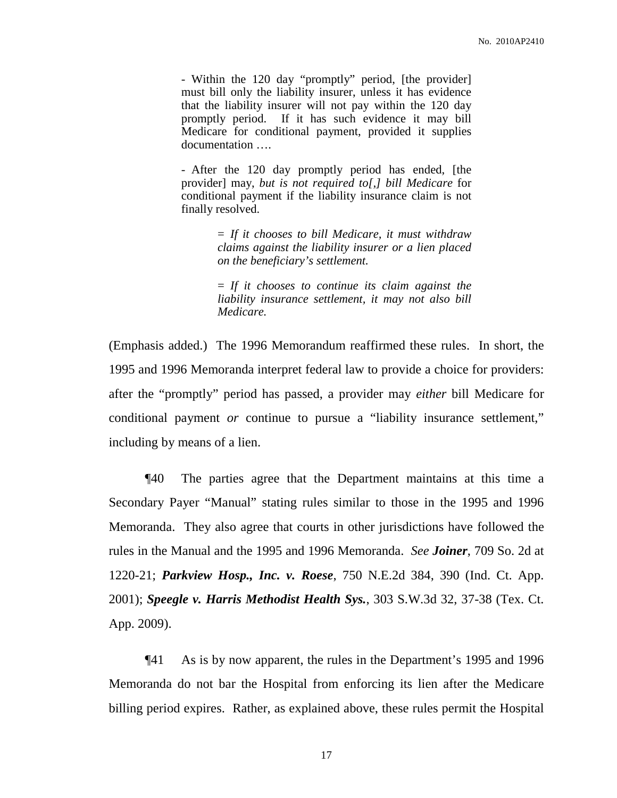- Within the 120 day "promptly" period, [the provider] must bill only the liability insurer, unless it has evidence that the liability insurer will not pay within the 120 day promptly period. If it has such evidence it may bill Medicare for conditional payment, provided it supplies documentation ….

- After the 120 day promptly period has ended, [the provider] may, *but is not required to[,] bill Medicare* for conditional payment if the liability insurance claim is not finally resolved.

> = *If it chooses to bill Medicare, it must withdraw claims against the liability insurer or a lien placed on the beneficiary's settlement.*

> = *If it chooses to continue its claim against the liability insurance settlement, it may not also bill Medicare.*

(Emphasis added.) The 1996 Memorandum reaffirmed these rules. In short, the 1995 and 1996 Memoranda interpret federal law to provide a choice for providers: after the "promptly" period has passed, a provider may *either* bill Medicare for conditional payment *or* continue to pursue a "liability insurance settlement," including by means of a lien.

¶40 The parties agree that the Department maintains at this time a Secondary Payer "Manual" stating rules similar to those in the 1995 and 1996 Memoranda. They also agree that courts in other jurisdictions have followed the rules in the Manual and the 1995 and 1996 Memoranda. *See Joiner*, 709 So. 2d at 1220-21; *Parkview Hosp., Inc. v. Roese*, 750 N.E.2d 384, 390 (Ind. Ct. App. 2001); *Speegle v. Harris Methodist Health Sys.*, 303 S.W.3d 32, 37-38 (Tex. Ct. App. 2009).

¶41 As is by now apparent, the rules in the Department's 1995 and 1996 Memoranda do not bar the Hospital from enforcing its lien after the Medicare billing period expires. Rather, as explained above, these rules permit the Hospital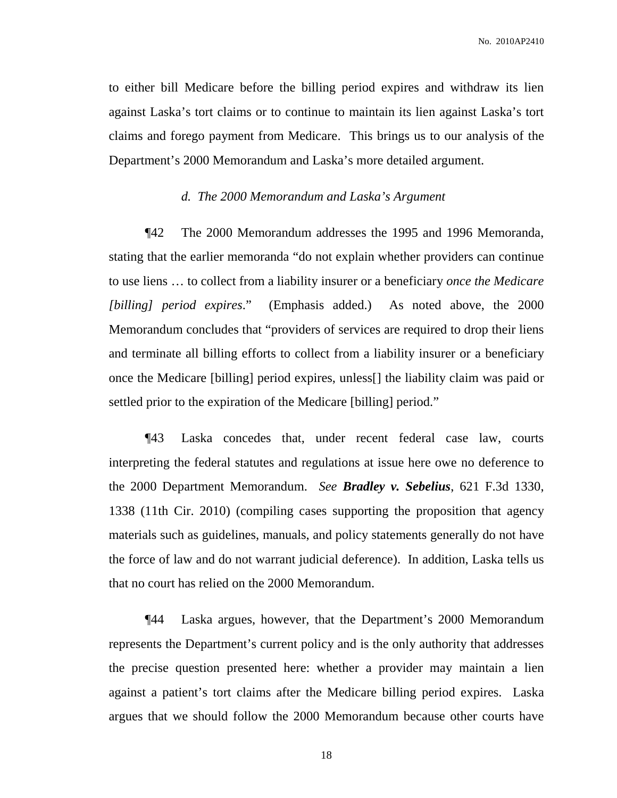No. 2010AP2410

to either bill Medicare before the billing period expires and withdraw its lien against Laska's tort claims or to continue to maintain its lien against Laska's tort claims and forego payment from Medicare. This brings us to our analysis of the Department's 2000 Memorandum and Laska's more detailed argument.

# *d. The 2000 Memorandum and Laska's Argument*

¶42 The 2000 Memorandum addresses the 1995 and 1996 Memoranda, stating that the earlier memoranda "do not explain whether providers can continue to use liens … to collect from a liability insurer or a beneficiary *once the Medicare [billing] period expires*." (Emphasis added.) As noted above, the 2000 Memorandum concludes that "providers of services are required to drop their liens and terminate all billing efforts to collect from a liability insurer or a beneficiary once the Medicare [billing] period expires, unless[] the liability claim was paid or settled prior to the expiration of the Medicare [billing] period."

¶43 Laska concedes that, under recent federal case law, courts interpreting the federal statutes and regulations at issue here owe no deference to the 2000 Department Memorandum. *See Bradley v. Sebelius*, 621 F.3d 1330, 1338 (11th Cir. 2010) (compiling cases supporting the proposition that agency materials such as guidelines, manuals, and policy statements generally do not have the force of law and do not warrant judicial deference). In addition, Laska tells us that no court has relied on the 2000 Memorandum.

¶44 Laska argues, however, that the Department's 2000 Memorandum represents the Department's current policy and is the only authority that addresses the precise question presented here: whether a provider may maintain a lien against a patient's tort claims after the Medicare billing period expires. Laska argues that we should follow the 2000 Memorandum because other courts have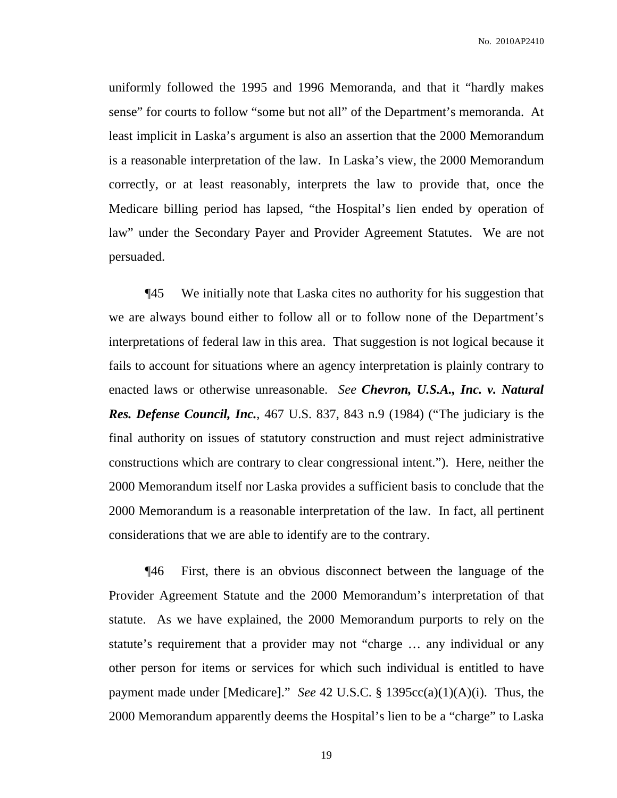No. 2010AP2410

uniformly followed the 1995 and 1996 Memoranda, and that it "hardly makes sense" for courts to follow "some but not all" of the Department's memoranda. At least implicit in Laska's argument is also an assertion that the 2000 Memorandum is a reasonable interpretation of the law. In Laska's view, the 2000 Memorandum correctly, or at least reasonably, interprets the law to provide that, once the Medicare billing period has lapsed, "the Hospital's lien ended by operation of law" under the Secondary Payer and Provider Agreement Statutes. We are not persuaded.

¶45 We initially note that Laska cites no authority for his suggestion that we are always bound either to follow all or to follow none of the Department's interpretations of federal law in this area. That suggestion is not logical because it fails to account for situations where an agency interpretation is plainly contrary to enacted laws or otherwise unreasonable. *See Chevron, U.S.A., Inc. v. Natural Res. Defense Council, Inc.*, 467 U.S. 837, 843 n.9 (1984) ("The judiciary is the final authority on issues of statutory construction and must reject administrative constructions which are contrary to clear congressional intent."). Here, neither the 2000 Memorandum itself nor Laska provides a sufficient basis to conclude that the 2000 Memorandum is a reasonable interpretation of the law. In fact, all pertinent considerations that we are able to identify are to the contrary.

¶46 First, there is an obvious disconnect between the language of the Provider Agreement Statute and the 2000 Memorandum's interpretation of that statute. As we have explained, the 2000 Memorandum purports to rely on the statute's requirement that a provider may not "charge … any individual or any other person for items or services for which such individual is entitled to have payment made under [Medicare]." *See* 42 U.S.C. § 1395cc(a)(1)(A)(i). Thus, the 2000 Memorandum apparently deems the Hospital's lien to be a "charge" to Laska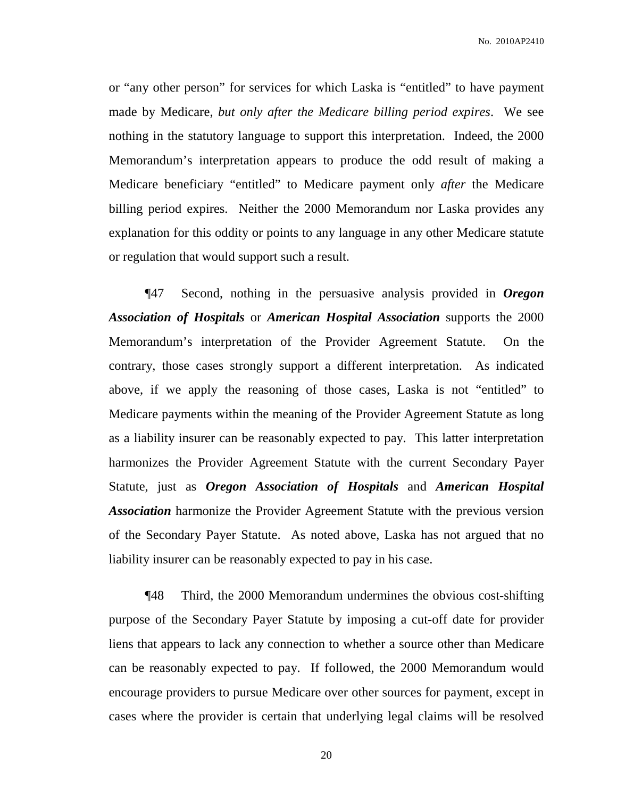or "any other person" for services for which Laska is "entitled" to have payment made by Medicare, *but only after the Medicare billing period expires*. We see nothing in the statutory language to support this interpretation. Indeed, the 2000 Memorandum's interpretation appears to produce the odd result of making a Medicare beneficiary "entitled" to Medicare payment only *after* the Medicare billing period expires. Neither the 2000 Memorandum nor Laska provides any explanation for this oddity or points to any language in any other Medicare statute or regulation that would support such a result.

¶47 Second, nothing in the persuasive analysis provided in *Oregon Association of Hospitals* or *American Hospital Association* supports the 2000 Memorandum's interpretation of the Provider Agreement Statute. On the contrary, those cases strongly support a different interpretation. As indicated above, if we apply the reasoning of those cases, Laska is not "entitled" to Medicare payments within the meaning of the Provider Agreement Statute as long as a liability insurer can be reasonably expected to pay. This latter interpretation harmonizes the Provider Agreement Statute with the current Secondary Payer Statute, just as *Oregon Association of Hospitals* and *American Hospital Association* harmonize the Provider Agreement Statute with the previous version of the Secondary Payer Statute. As noted above, Laska has not argued that no liability insurer can be reasonably expected to pay in his case.

¶48 Third, the 2000 Memorandum undermines the obvious cost-shifting purpose of the Secondary Payer Statute by imposing a cut-off date for provider liens that appears to lack any connection to whether a source other than Medicare can be reasonably expected to pay. If followed, the 2000 Memorandum would encourage providers to pursue Medicare over other sources for payment, except in cases where the provider is certain that underlying legal claims will be resolved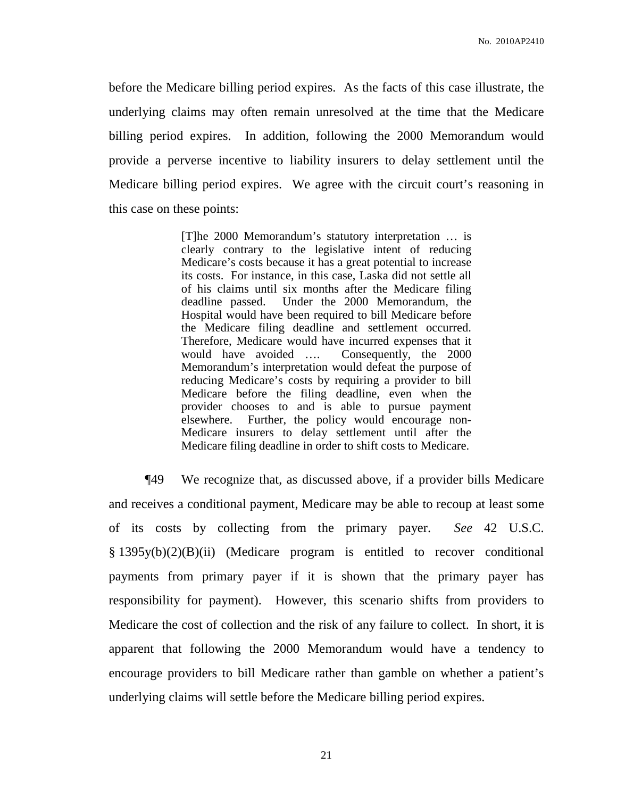before the Medicare billing period expires. As the facts of this case illustrate, the underlying claims may often remain unresolved at the time that the Medicare billing period expires. In addition, following the 2000 Memorandum would provide a perverse incentive to liability insurers to delay settlement until the Medicare billing period expires. We agree with the circuit court's reasoning in this case on these points:

> [T]he 2000 Memorandum's statutory interpretation … is clearly contrary to the legislative intent of reducing Medicare's costs because it has a great potential to increase its costs. For instance, in this case, Laska did not settle all of his claims until six months after the Medicare filing deadline passed. Under the 2000 Memorandum, the Hospital would have been required to bill Medicare before the Medicare filing deadline and settlement occurred. Therefore, Medicare would have incurred expenses that it would have avoided …. Consequently, the 2000 Memorandum's interpretation would defeat the purpose of reducing Medicare's costs by requiring a provider to bill Medicare before the filing deadline, even when the provider chooses to and is able to pursue payment elsewhere. Further, the policy would encourage non-Medicare insurers to delay settlement until after the Medicare filing deadline in order to shift costs to Medicare.

¶49 We recognize that, as discussed above, if a provider bills Medicare and receives a conditional payment, Medicare may be able to recoup at least some of its costs by collecting from the primary payer. *See* 42 U.S.C. § 1395y(b)(2)(B)(ii) (Medicare program is entitled to recover conditional payments from primary payer if it is shown that the primary payer has responsibility for payment). However, this scenario shifts from providers to Medicare the cost of collection and the risk of any failure to collect. In short, it is apparent that following the 2000 Memorandum would have a tendency to encourage providers to bill Medicare rather than gamble on whether a patient's underlying claims will settle before the Medicare billing period expires.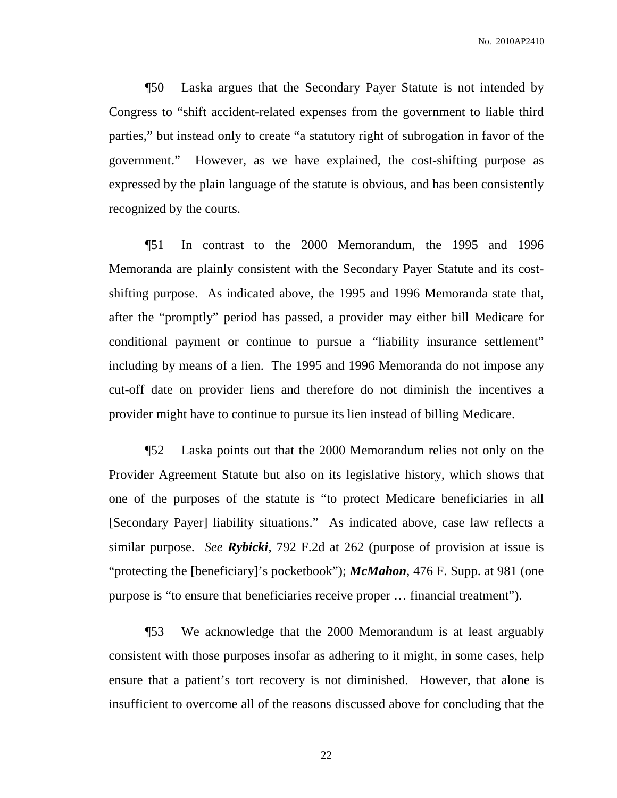No. 2010AP2410

¶50 Laska argues that the Secondary Payer Statute is not intended by Congress to "shift accident-related expenses from the government to liable third parties," but instead only to create "a statutory right of subrogation in favor of the government." However, as we have explained, the cost-shifting purpose as expressed by the plain language of the statute is obvious, and has been consistently recognized by the courts.

¶51 In contrast to the 2000 Memorandum, the 1995 and 1996 Memoranda are plainly consistent with the Secondary Payer Statute and its costshifting purpose. As indicated above, the 1995 and 1996 Memoranda state that, after the "promptly" period has passed, a provider may either bill Medicare for conditional payment or continue to pursue a "liability insurance settlement" including by means of a lien. The 1995 and 1996 Memoranda do not impose any cut-off date on provider liens and therefore do not diminish the incentives a provider might have to continue to pursue its lien instead of billing Medicare.

¶52 Laska points out that the 2000 Memorandum relies not only on the Provider Agreement Statute but also on its legislative history, which shows that one of the purposes of the statute is "to protect Medicare beneficiaries in all [Secondary Payer] liability situations." As indicated above, case law reflects a similar purpose. *See Rybicki*, 792 F.2d at 262 (purpose of provision at issue is "protecting the [beneficiary]'s pocketbook"); *McMahon*, 476 F. Supp. at 981 (one purpose is "to ensure that beneficiaries receive proper … financial treatment").

¶53 We acknowledge that the 2000 Memorandum is at least arguably consistent with those purposes insofar as adhering to it might, in some cases, help ensure that a patient's tort recovery is not diminished. However, that alone is insufficient to overcome all of the reasons discussed above for concluding that the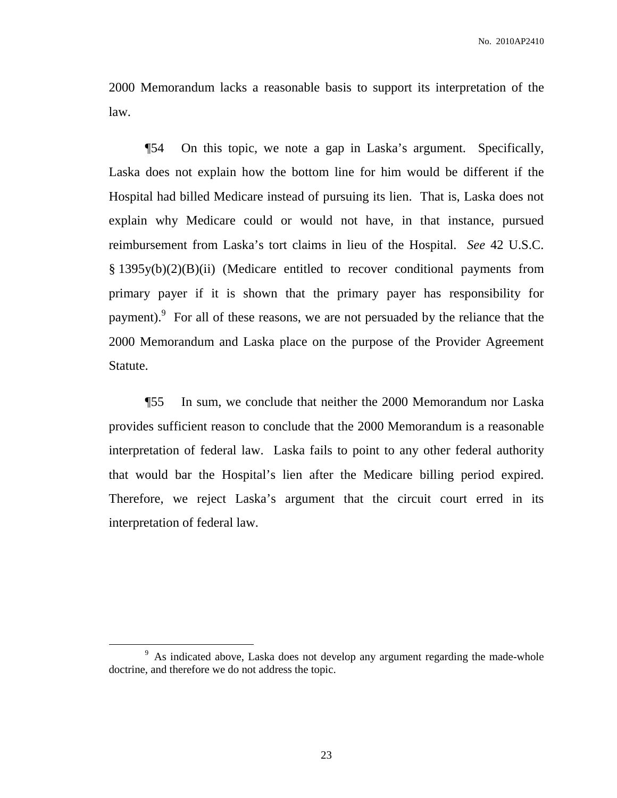2000 Memorandum lacks a reasonable basis to support its interpretation of the law.

¶54 On this topic, we note a gap in Laska's argument. Specifically, Laska does not explain how the bottom line for him would be different if the Hospital had billed Medicare instead of pursuing its lien. That is, Laska does not explain why Medicare could or would not have, in that instance, pursued reimbursement from Laska's tort claims in lieu of the Hospital. *See* 42 U.S.C. § 1395y(b)(2)(B)(ii) (Medicare entitled to recover conditional payments from primary payer if it is shown that the primary payer has responsibility for payment). For all of these reasons, we are not persuaded by the reliance that the 2000 Memorandum and Laska place on the purpose of the Provider Agreement Statute.

¶55 In sum, we conclude that neither the 2000 Memorandum nor Laska provides sufficient reason to conclude that the 2000 Memorandum is a reasonable interpretation of federal law. Laska fails to point to any other federal authority that would bar the Hospital's lien after the Medicare billing period expired. Therefore, we reject Laska's argument that the circuit court erred in its interpretation of federal law.

<sup>&</sup>lt;sup>9</sup> As indicated above, Laska does not develop any argument regarding the made-whole doctrine, and therefore we do not address the topic.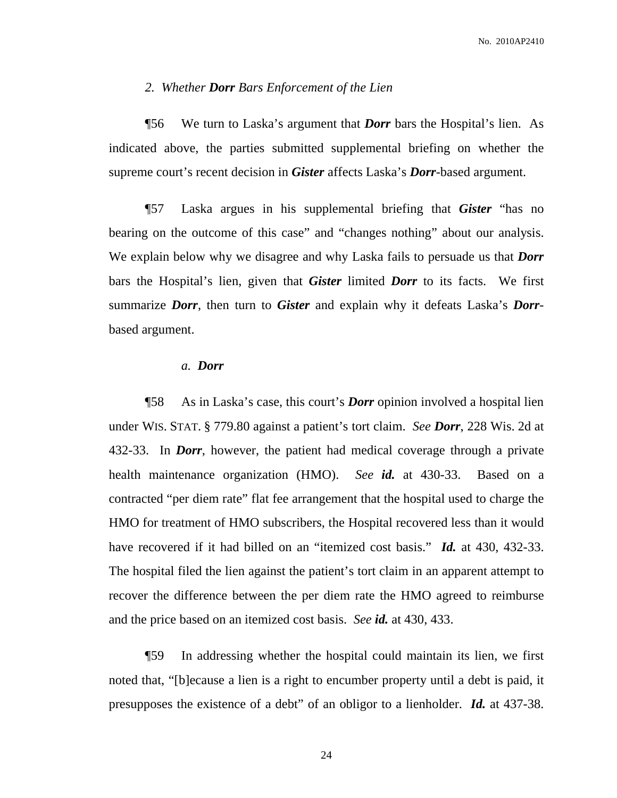## *2. Whether Dorr Bars Enforcement of the Lien*

¶56 We turn to Laska's argument that *Dorr* bars the Hospital's lien. As indicated above, the parties submitted supplemental briefing on whether the supreme court's recent decision in *Gister* affects Laska's *Dorr*-based argument.

¶57 Laska argues in his supplemental briefing that *Gister* "has no bearing on the outcome of this case" and "changes nothing" about our analysis. We explain below why we disagree and why Laska fails to persuade us that *Dorr* bars the Hospital's lien, given that *Gister* limited *Dorr* to its facts. We first summarize *Dorr*, then turn to *Gister* and explain why it defeats Laska's *Dorr*based argument.

# *a. Dorr*

¶58 As in Laska's case, this court's *Dorr* opinion involved a hospital lien under WIS. STAT. § 779.80 against a patient's tort claim. *See Dorr*, 228 Wis. 2d at 432-33. In *Dorr*, however, the patient had medical coverage through a private health maintenance organization (HMO). *See id.* at 430-33. Based on a contracted "per diem rate" flat fee arrangement that the hospital used to charge the HMO for treatment of HMO subscribers, the Hospital recovered less than it would have recovered if it had billed on an "itemized cost basis." *Id.* at 430, 432-33. The hospital filed the lien against the patient's tort claim in an apparent attempt to recover the difference between the per diem rate the HMO agreed to reimburse and the price based on an itemized cost basis. *See id.* at 430, 433.

¶59 In addressing whether the hospital could maintain its lien, we first noted that, "[b]ecause a lien is a right to encumber property until a debt is paid, it presupposes the existence of a debt" of an obligor to a lienholder. *Id.* at 437-38.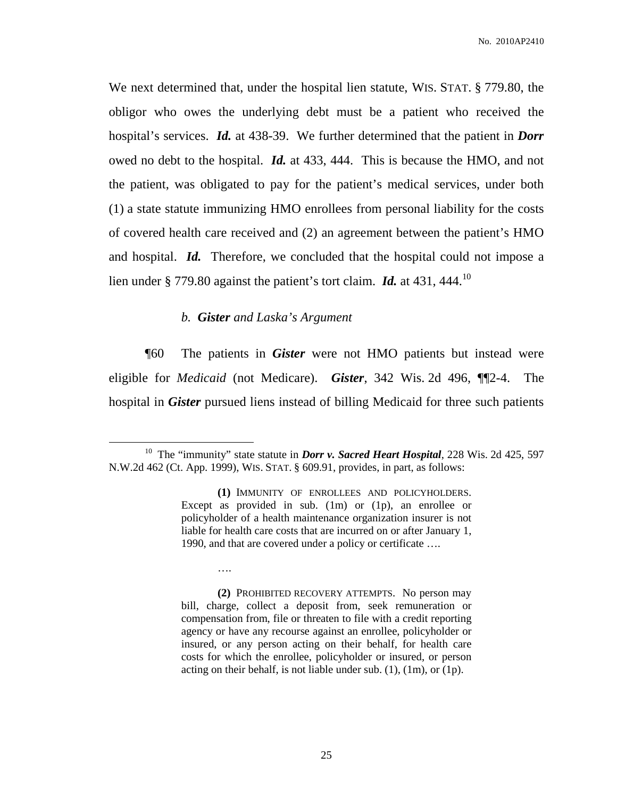We next determined that, under the hospital lien statute, WIS. STAT. § 779.80, the obligor who owes the underlying debt must be a patient who received the hospital's services. *Id.* at 438-39. We further determined that the patient in *Dorr* owed no debt to the hospital. *Id.* at 433, 444. This is because the HMO, and not the patient, was obligated to pay for the patient's medical services, under both (1) a state statute immunizing HMO enrollees from personal liability for the costs of covered health care received and (2) an agreement between the patient's HMO and hospital. *Id.* Therefore, we concluded that the hospital could not impose a lien under § 779.80 against the patient's tort claim. Id. at 431, 444.<sup>10</sup>

# *b. Gister and Laska's Argument*

….

¶60 The patients in *Gister* were not HMO patients but instead were eligible for *Medicaid* (not Medicare). *Gister*, 342 Wis. 2d 496, ¶¶2-4. The hospital in *Gister* pursued liens instead of billing Medicaid for three such patients

**(2)** PROHIBITED RECOVERY ATTEMPTS. No person may bill, charge, collect a deposit from, seek remuneration or compensation from, file or threaten to file with a credit reporting agency or have any recourse against an enrollee, policyholder or insured, or any person acting on their behalf, for health care costs for which the enrollee, policyholder or insured, or person acting on their behalf, is not liable under sub. (1), (1m), or (1p).

<sup>10</sup> The "immunity" state statute in *Dorr v. Sacred Heart Hospital*, 228 Wis. 2d 425, 597 N.W.2d 462 (Ct. App. 1999), WIS. STAT. § 609.91, provides, in part, as follows:

**<sup>(1)</sup>** IMMUNITY OF ENROLLEES AND POLICYHOLDERS. Except as provided in sub. (1m) or (1p), an enrollee or policyholder of a health maintenance organization insurer is not liable for health care costs that are incurred on or after January 1, 1990, and that are covered under a policy or certificate ….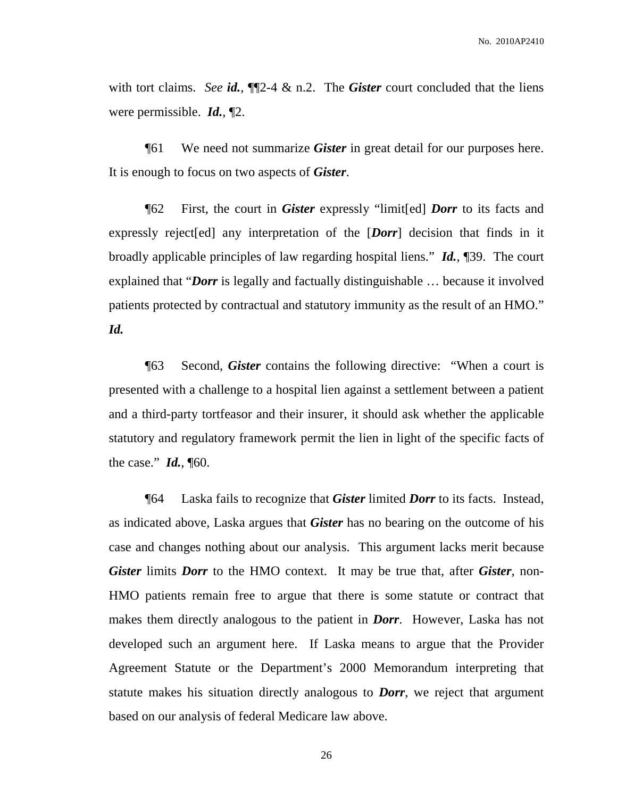with tort claims. *See id.*, ¶¶2-4 & n.2. The *Gister* court concluded that the liens were permissible. *Id.*, ¶2.

¶61 We need not summarize *Gister* in great detail for our purposes here. It is enough to focus on two aspects of *Gister*.

¶62 First, the court in *Gister* expressly "limit[ed] *Dorr* to its facts and expressly reject[ed] any interpretation of the [*Dorr*] decision that finds in it broadly applicable principles of law regarding hospital liens." *Id.*, ¶39. The court explained that "*Dorr* is legally and factually distinguishable … because it involved patients protected by contractual and statutory immunity as the result of an HMO." *Id.*

¶63 Second, *Gister* contains the following directive: "When a court is presented with a challenge to a hospital lien against a settlement between a patient and a third-party tortfeasor and their insurer, it should ask whether the applicable statutory and regulatory framework permit the lien in light of the specific facts of the case." *Id.*, ¶60.

¶64 Laska fails to recognize that *Gister* limited *Dorr* to its facts. Instead, as indicated above, Laska argues that *Gister* has no bearing on the outcome of his case and changes nothing about our analysis. This argument lacks merit because *Gister* limits *Dorr* to the HMO context. It may be true that, after *Gister*, non-HMO patients remain free to argue that there is some statute or contract that makes them directly analogous to the patient in *Dorr*. However, Laska has not developed such an argument here. If Laska means to argue that the Provider Agreement Statute or the Department's 2000 Memorandum interpreting that statute makes his situation directly analogous to *Dorr*, we reject that argument based on our analysis of federal Medicare law above.